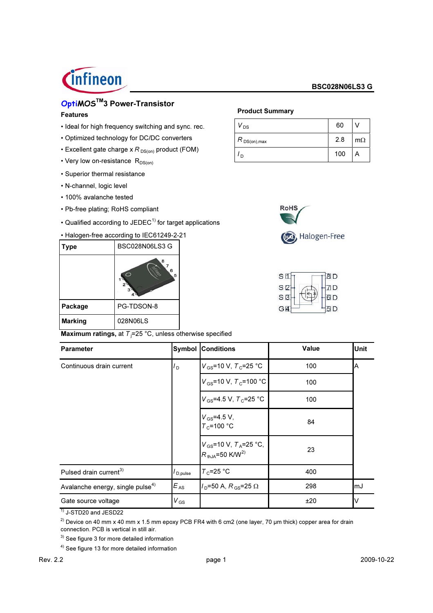# *C*infineon

#### **BSC028N06LS3 G**

# OptiMOS<sup>™</sup>3 Power-Transistor

#### **Features**

- · Ideal for high frequency switching and sync. rec.
- Optimized technology for DC/DC converters
- **Excellent gate charge x R**  $_{DS(on)}$  product (FOM)
- Very low on-resistance  $R_{DS(on)}$
- Superior thermal resistance
- N-channel, logic level
- · 100% avalanche tested
- Pb-free plating; RoHS compliant
- Qualified according to JEDEC<sup>1)</sup> for target applications

#### • Halogen-free according to IEC61249-2-21

| Type           | BSC028N06LS3 G |
|----------------|----------------|
|                | 8<br>6<br>5    |
| Package        | PG-TDSON-8     |
| <b>Marking</b> | 028N06LS       |

Maximum ratings, at  $T_i=25$  °C, unless otherwise specified

# **Product Summary**

| $V_{DS}$                                          | 60  |           |
|---------------------------------------------------|-----|-----------|
| , $R_{\,\mathsf{DS}( \mathsf{on}),\mathsf{max} }$ | 2.8 | $m\Omega$ |
| ח י                                               | 100 |           |



| S <sub>1</sub> | 8D   |
|----------------|------|
| S <sub>2</sub> | 71 D |
| $S$ $B$        | 6D   |
| G <sup>4</sup> | חו   |

| <b>Parameter</b>                             | Symbol               | <b>Conditions</b>                                                                | Value | <b>Unit</b> |
|----------------------------------------------|----------------------|----------------------------------------------------------------------------------|-------|-------------|
| Continuous drain current                     | $I_{\rm D}$          | $V_{GS}$ =10 V, $T_{C}$ =25 °C                                                   | 100   | ΙA          |
|                                              |                      | $V_{\text{GS}}$ =10 V, $T_{\text{C}}$ =100 °C                                    | 100   |             |
|                                              |                      | $V_{\rm GS}$ =4.5 V, $T_{\rm C}$ =25 °C                                          | 100   |             |
|                                              |                      | $V_{\rm GS} = 4.5 V$ ,<br>$T_c$ =100 °C                                          | 84    |             |
|                                              |                      | $V_{\text{GS}}$ =10 V, $T_A$ =25 °C,<br>$R_{\text{th,IA}}$ =50 K/W <sup>2)</sup> | 23    |             |
| Pulsed drain current <sup>3)</sup>           | I <sub>D,pulse</sub> | $T_c = 25 °C$                                                                    | 400   |             |
| Avalanche energy, single pulse <sup>4)</sup> | $E_{AS}$             | $I_{\rm D}$ =50 A, R <sub>GS</sub> =25 $\Omega$                                  | 298   | lmJ         |
| Gate source voltage                          | $V_{GS}$             |                                                                                  | ±20   | ΙV          |

 $\frac{1}{1}$  J-STD20 and JESD22

<sup>2)</sup> Device on 40 mm x 40 mm x 1.5 mm epoxy PCB FR4 with 6 cm2 (one layer, 70 µm thick) copper area for drain connection. PCB is vertical in still air.

 $3)$  See figure 3 for more detailed information

<sup>4)</sup> See figure 13 for more detailed information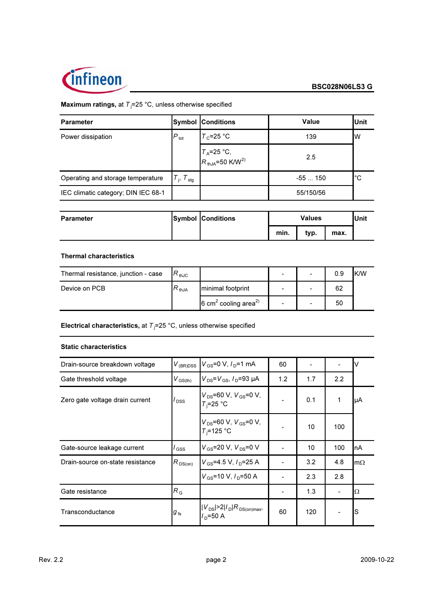

## **Maximum ratings, at**  $T_j = 25 \degree C$ , unless otherwise specified

| <b>Parameter</b>                    |                                     | <b>Symbol Conditions</b>                | <b>Value</b> | <b>IUnit</b> |
|-------------------------------------|-------------------------------------|-----------------------------------------|--------------|--------------|
| Power dissipation                   | $P_{\text{tot}}$                    | $T_c = 25 °C$                           | 139          | Iw           |
|                                     |                                     | $T_A = 25 °C,$<br>$R_{thJA} = 50 K/W^2$ | 2.5          |              |
| Operating and storage temperature   | $T_{\text{stg}}$<br>L <sub>is</sub> |                                         | $-55150$     | l°С          |
| IEC climatic category; DIN IEC 68-1 |                                     |                                         | 55/150/56    |              |

| <b>Parameter</b> | <b>Symbol Conditions</b> |      | <b>Values</b> |      | lUnit |
|------------------|--------------------------|------|---------------|------|-------|
|                  |                          | min. | typ.          | max. |       |

#### **Thermal characteristics**

| Thermal resistance, junction - case | $R_{\,\rm thJC}$    |                                              |   | $\overline{\phantom{0}}$ | 0.9 | K/W |
|-------------------------------------|---------------------|----------------------------------------------|---|--------------------------|-----|-----|
| Device on PCB                       | $R_{\,\text{thJA}}$ | minimal footprint                            | - |                          | 62  |     |
|                                     |                     | 6 cm <sup>2</sup> cooling area <sup>2)</sup> |   |                          | 50  |     |

Electrical characteristics, at  $T_j$ =25 °C, unless otherwise specified

#### **Static characteristics**

| Drain-source breakdown voltage   | $V_{(BR)DSS}$           | $V_{\text{GS}} = 0 \text{ V}, I_{\text{D}} = 1 \text{ mA}$ | 60  |     |     | I٧                  |
|----------------------------------|-------------------------|------------------------------------------------------------|-----|-----|-----|---------------------|
| Gate threshold voltage           | $V_{\rm GS(th)}$        | $V_{DS} = V_{GS}$ , $I_{D} = 93 \mu A$                     | 1.2 | 1.7 | 2.2 |                     |
| Zero gate voltage drain current  | $\prime$ <sub>DSS</sub> | $V_{DS}$ =60 V, $V_{GS}$ =0 V,<br>$T_i = 25 °C$            |     | 0.1 | 1   | IμA                 |
|                                  |                         | $V_{DS}$ =60 V, $V_{GS}$ =0 V,<br>$T_i = 125$ °C           |     | 10  | 100 |                     |
| Gate-source leakage current      | / <sub>GSS</sub>        | $V_{GS}$ =20 V, $V_{DS}$ =0 V                              |     | 10  | 100 | InA                 |
| Drain-source on-state resistance | $R_{DS(on)}$            | $V_{GS}$ =4.5 V, $I_{D}$ =25 A                             |     | 3.2 | 4.8 | $\mathsf{Im}\Omega$ |
|                                  |                         | $V_{\text{GS}}$ =10 V, $I_{\text{D}}$ =50 A                |     | 2.3 | 2.8 |                     |
| Gate resistance                  | $R_{G}$                 |                                                            |     | 1.3 |     | IΩ                  |
| Transconductance                 | $g_{\,\rm fs}$          | $ V_{DS}  > 2 I_D R_{DS(on)max}$<br>/ <sub>n</sub> =50 A   | 60  | 120 |     | lS                  |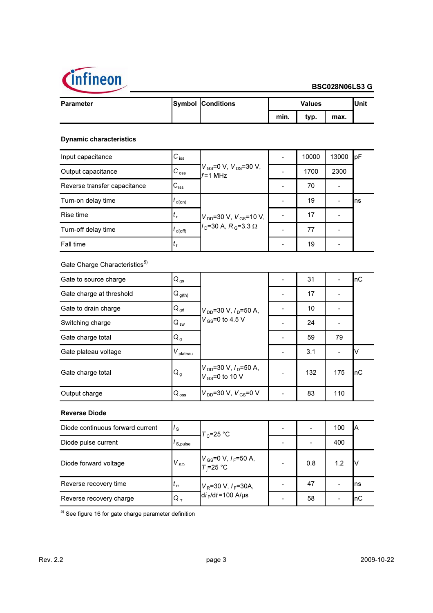

| <b>Parameter</b> | <b>Symbol Conditions</b> | <b>Values</b> |      |      | 'Unit |
|------------------|--------------------------|---------------|------|------|-------|
|                  |                          | min.          | typ. | max. |       |

#### **Dynamic characteristics**

| Input capacitance            | $C_{\text{iss}}$    |                                                           | 10000 | 13000 | IpF |
|------------------------------|---------------------|-----------------------------------------------------------|-------|-------|-----|
| Output capacitance           | $C_{\text{oss}}$    | $V_{\text{GS}}$ =0 V, $V_{\text{DS}}$ =30 V,<br>$f=1$ MHz | 1700  | 2300  |     |
| Reverse transfer capacitance | $\mathrm{C_{rss}}$  |                                                           | 70    |       |     |
| Turn-on delay time           | $I_{d(0n)}$         |                                                           | 19    |       | Ins |
| Rise time                    |                     | $V_{DD}$ =30 V, $V_{GS}$ =10 V,                           | 17    |       |     |
| Turn-off delay time          | $t_{\text{d(off)}}$ | $I_{\rm D}$ =30 A, R <sub>G</sub> =3.3 $\Omega$           | 77    |       |     |
| Fall time                    |                     |                                                           | 19    |       |     |

Gate Charge Characteristics<sup>5)</sup>

| Gate to source charge    | $Q_{gs}$               |                                                     | 31  |     | InC |
|--------------------------|------------------------|-----------------------------------------------------|-----|-----|-----|
| Gate charge at threshold | $Q_{g(th)}$            |                                                     | 17  |     |     |
| Gate to drain charge     | $Q_{gd}$               | $V_{DD}$ =30 V, $I_D$ =50 A,                        | 10  |     |     |
| Switching charge         | $Q_{sw}$               | $V_{GS}$ =0 to 4.5 V                                | 24  |     |     |
| Gate charge total        | Q <sub>g</sub>         |                                                     | 59  | 79  |     |
| Gate plateau voltage     | $V_{\mathsf{plateau}}$ |                                                     | 3.1 |     |     |
| Gate charge total        | Q <sub>g</sub>         | $V_{DD}$ =30 V, $I_D$ =50 A,<br>$V_{GS}$ =0 to 10 V | 132 | 175 | nC. |
| Output charge            | $Q_{\text{oss}}$       | $V_{DD} = 30 \text{ V}$ , $V_{GS} = 0 \text{ V}$    | 83  | 110 |     |

#### **Reverse Diode**

| Diode continuous forward current | I s                          | $T_c = 25 °C$                                                               |     | 100                      | IΑ  |
|----------------------------------|------------------------------|-----------------------------------------------------------------------------|-----|--------------------------|-----|
| Diode pulse current              | / S.pulse                    |                                                                             |     | 400                      |     |
| Diode forward voltage            | $V_{SD}$                     | $V_{\text{GS}} = 0 \text{ V}, I_F = 50 \text{ A},$<br>$T_i = 25 \text{ °C}$ | 0.8 | 1.2                      |     |
| Reverse recovery time            | $\mathfrak{c}_{\,\text{rr}}$ | $V_R$ =30 V, $I_F$ =30A,                                                    | 47  |                          | Ins |
| Reverse recovery charge          | $Q_{rr}$                     | $di$ <sub>F</sub> /dt=100 A/µs                                              | 58  | $\overline{\phantom{a}}$ | InC |

 $5)$  See figure 16 for gate charge parameter definition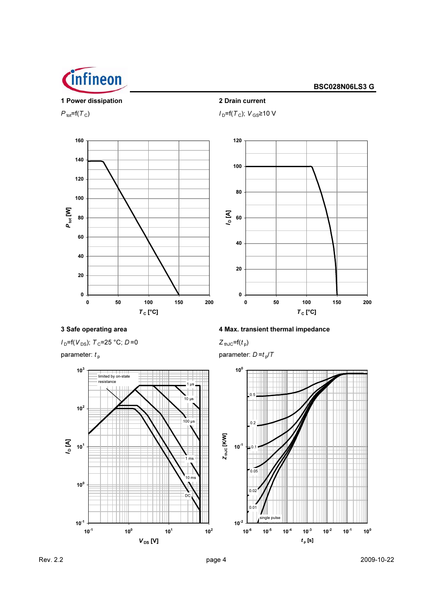

1 Power dissipation

### **BSC028N06LS3 G**



2 Drain current

 $I_D$ =f( $T_C$ );  $V_{GS}$ ≥10 V



## 3 Safe operating area

 $I_D = f(V_{DS})$ ;  $T_C = 25 °C$ ;  $D = 0$ 

parameter:  $t_{\rm p}$ 



#### 4 Max. transient thermal impedance

 $Z_{thJC} = f(t_p)$ 

parameter:  $D = t_p/T$ 

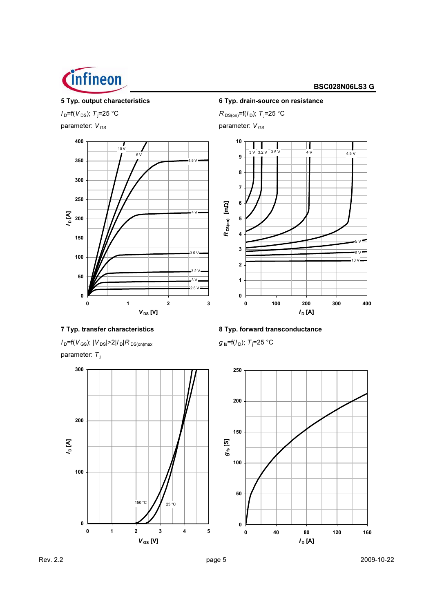

#### 5 Typ. output characteristics

 $I_D = f(V_{DS})$ ; T<sub>j</sub>=25 °C parameter:  $V_{GS}$ 



6 Typ. drain-source on resistance

 $R_{DS(on)} = f(I_D); T_j = 25 °C$ 

parameter:  $V_{GS}$ 



7 Typ. transfer characteristics  $I_D = f(V_{GS})$ ;  $|V_{DS}| > 2|I_D|R_{DS(on)max}$ 

parameter:  $T_i$ 



8 Typ. forward transconductance

 $g_{fs}$ =f( $l_{D}$ ); T<sub>j</sub>=25 °C

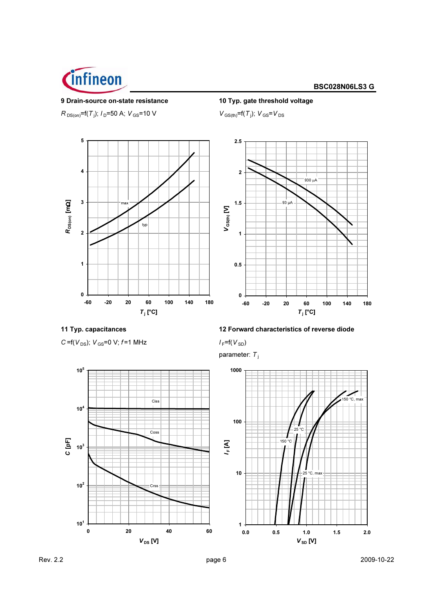

#### 9 Drain-source on-state resistance

 $R_{DS(on)}$ =f(T<sub>j</sub>);  $I_D$ =50 A;  $V_{GS}$ =10 V



10 Typ. gate threshold voltage

 $V_{\text{GS(th)}} = f(T_j); V_{\text{GS}} = V_{\text{DS}}$ 



11 Typ. capacitances

 $C = f(V_{DS})$ ;  $V_{GS} = 0$  V;  $f = 1$  MHz



 $I_F = f(V_{SD})$ 

parameter:  $T_i$ 



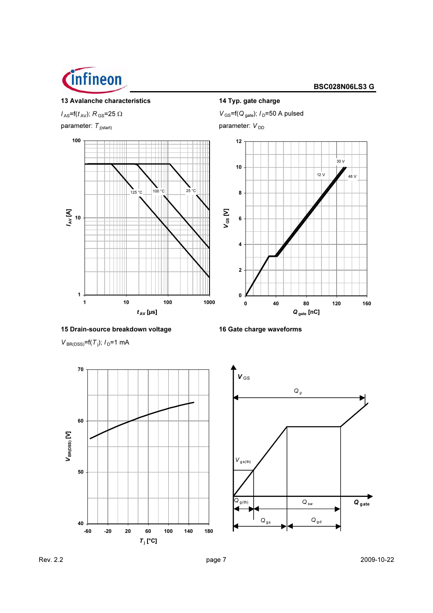

#### 13 Avalanche characteristics

 $I_{\rm AS}$ =f( $t_{\rm AV}$ ); R<sub>GS</sub>=25  $\Omega$ parameter:  $T_{j(\text{start})}$ 





 $V_{BR(DSS)} = f(T_j); I_D = 1 \text{ mA}$ 



14 Typ. gate charge  $V_{\text{GS}}$ =f(Q<sub>gate</sub>); /<sub>D</sub>=50 A pulsed parameter:  $V_{DD}$ 



<sup>16</sup> Gate charge waveforms

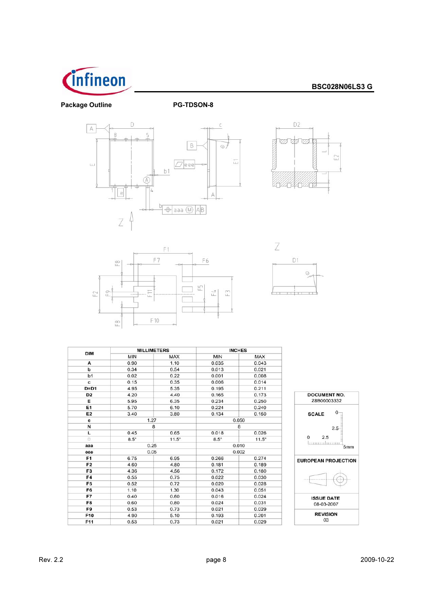

**Package Outline** 

PG-TDSON-8









| <b>DIM</b>     | <b>MILLIMETERS</b> |              | <b>INCHES</b> |              |
|----------------|--------------------|--------------|---------------|--------------|
|                | <b>MIN</b>         | <b>MAX</b>   | <b>MIN</b>    | <b>MAX</b>   |
| А              | 0.90               | 1.10         | 0.035         | 0.043        |
| b              | 0.34               | 0.54         | 0.013         | 0.021        |
| b <sub>1</sub> | 0.02               | 0.22         | 0.001         | 0.008        |
| c              | 0.15               | 0.35         | 0.006         | 0.014        |
| $D = D1$       | 4.95               | 5.35         | 0.195         | 0.211        |
| D <sub>2</sub> | 4.20               | 4.40         | 0.165         | 0.173        |
| E              | 5.95               | 6.35         | 0.234         | 0.250        |
| E1             | 5.70               | 6.10         | 0.224         | 0.240        |
| E <sub>2</sub> | 3.40               | 3.80         | 0.134         | 0.150        |
| e              | 1.27               |              | 0.050         |              |
| И              | 8                  |              | 8             |              |
| L              | 0.45               | 0.65         | 0.018         | 0.026        |
| $\Box$         | $8.5^\circ$        | $11.5^\circ$ | $8.5^\circ$   | $11.5^\circ$ |
| aaa            | 0.25               |              | 0.010         |              |
| eee            | 0.05               |              | 0.002         |              |
| F <sub>1</sub> | 6.75               | 6.95         | 0.266         | 0.274        |
| F <sub>2</sub> | 4.60               | 4.80         | 0.181         | 0.189        |
| F <sub>3</sub> | 4.36               | 4.56         | 0.172         | 0.180        |
| F4             | 0.55               | 0.75         | 0.022         | 0.030        |
| F <sub>5</sub> | 0.52               | 0.72         | 0.020         | 0.028        |
| F <sub>6</sub> | 1.10               | 1.30         | 0.043         | 0.051        |
| F7             | 0.40               | 0.60         | 0.016         | 0.024        |
| F8             | 0.60               | 0.80         | 0.024         | 0.031        |
| F9             | 0.53               | 0.73         | 0.021         | 0.029        |
| F10            | 4.90               | 5.10         | 0.193         | 0.201        |
| F11            | 0.53               | 0.73         | 0.021         | 0.029        |